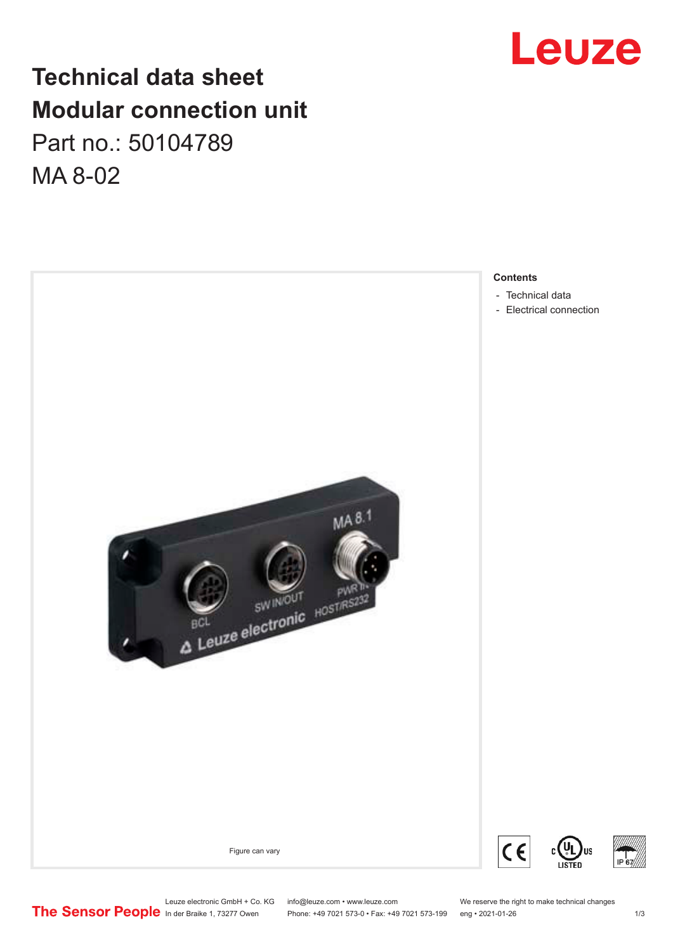## **Technical data sheet Modular connection unit** Part no.: 50104789 MA 8-02



Leuze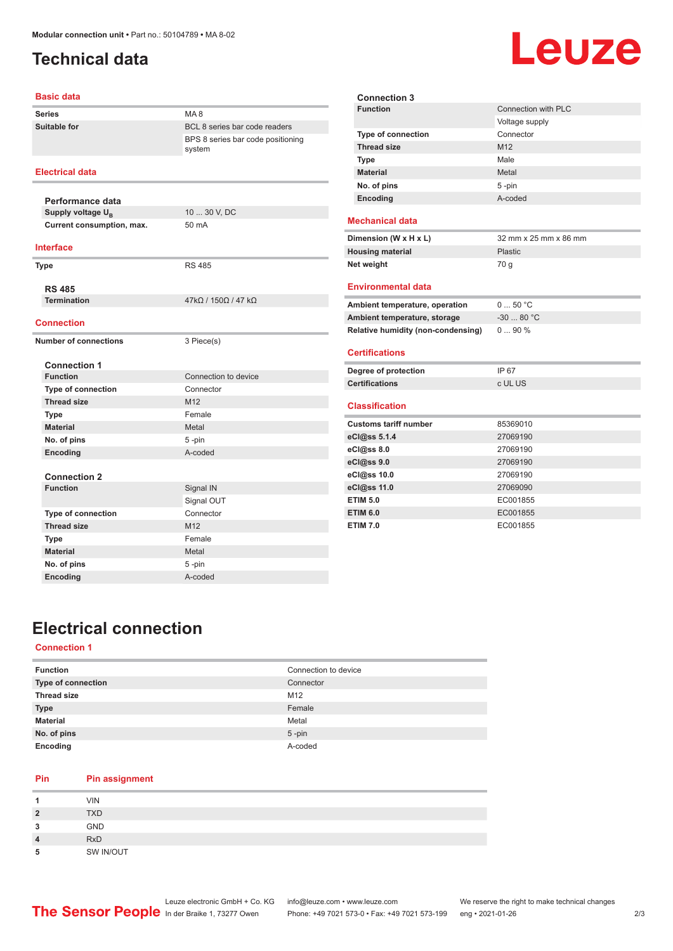## <span id="page-1-0"></span>**Technical data**

# **Leuze**

| <b>Basic data</b>             |                                             |  |
|-------------------------------|---------------------------------------------|--|
| <b>Series</b>                 | MA <sub>8</sub>                             |  |
| <b>Suitable for</b>           | BCL 8 series bar code readers               |  |
|                               | BPS 8 series bar code positioning<br>system |  |
| <b>Electrical data</b>        |                                             |  |
| Performance data              |                                             |  |
| Supply voltage U <sub>R</sub> | 10  30 V, DC                                |  |
| Current consumption, max.     | 50 mA                                       |  |
|                               |                                             |  |
| <b>Interface</b>              |                                             |  |
| <b>Type</b>                   | <b>RS 485</b>                               |  |
|                               |                                             |  |
| <b>RS 485</b>                 |                                             |  |
| <b>Termination</b>            | $47k\Omega$ / $150\Omega$ / $47k\Omega$     |  |
| <b>Connection</b>             |                                             |  |
| <b>Number of connections</b>  | 3 Piece(s)                                  |  |
|                               |                                             |  |
| <b>Connection 1</b>           |                                             |  |
| <b>Function</b>               | Connection to device                        |  |
| Type of connection            | Connector                                   |  |
| <b>Thread size</b>            | M12                                         |  |
| <b>Type</b>                   | Female                                      |  |
| <b>Material</b>               | Metal                                       |  |
| No. of pins                   | 5-pin                                       |  |
| Encoding                      | A-coded                                     |  |
| <b>Connection 2</b>           |                                             |  |
| <b>Function</b>               | Signal IN                                   |  |
|                               | Signal OUT                                  |  |
| <b>Type of connection</b>     | Connector                                   |  |
| <b>Thread size</b>            | M <sub>12</sub>                             |  |
| Type                          | Female                                      |  |
| <b>Material</b>               | Metal                                       |  |
| No. of pins                   | 5-pin                                       |  |
| Encoding                      | A-coded                                     |  |

| <b>Connection 3</b>                                         |                            |
|-------------------------------------------------------------|----------------------------|
| <b>Function</b>                                             | <b>Connection with PLC</b> |
|                                                             | Voltage supply             |
| <b>Type of connection</b>                                   | Connector                  |
| <b>Thread size</b>                                          | M <sub>12</sub>            |
| <b>Type</b>                                                 | Male                       |
| <b>Material</b>                                             | Metal                      |
| No. of pins                                                 | 5-pin                      |
| Encoding                                                    | A-coded                    |
| <b>Mechanical data</b>                                      |                            |
| Dimension (W x H x L)                                       | 32 mm x 25 mm x 86 mm      |
| <b>Housing material</b>                                     | Plastic                    |
| Net weight                                                  | 70 q                       |
| <b>Environmental data</b><br>Ambient temperature, operation | 050 °C                     |
| Ambient temperature, storage                                | $-30$ 80 °C                |
| Relative humidity (non-condensing)                          | $090\%$                    |
| <b>Certifications</b>                                       |                            |
| Degree of protection                                        | IP 67                      |
| <b>Certifications</b>                                       | c UL US                    |
| <b>Classification</b>                                       |                            |
| <b>Customs tariff number</b>                                | 85369010                   |
| eCl@ss 5.1.4                                                | 27069190                   |
| eCl@ss 8.0                                                  | 27069190                   |
| eCl@ss 9.0                                                  | 27069190                   |
| eCl@ss 10.0                                                 | 27069190                   |
| eCl@ss 11.0                                                 | 27069090                   |
| <b>ETIM 5.0</b>                                             | EC001855                   |
| <b>ETIM 6.0</b>                                             | EC001855                   |
| <b>ETIM 7.0</b>                                             | EC001855                   |

## **Electrical connection**

#### **Connection 1**

| <b>Function</b>           | Connection to device |
|---------------------------|----------------------|
| <b>Type of connection</b> | Connector            |
| <b>Thread size</b>        | M <sub>12</sub>      |
| <b>Type</b>               | Female               |
| <b>Material</b>           | Metal                |
| No. of pins               | $5$ -pin             |
| Encoding                  | A-coded              |

### **Pin Pin assignment**

|        | <b>VIN</b> |
|--------|------------|
| 2      | <b>TXD</b> |
| 2<br>w | <b>GND</b> |
| 4      | <b>RxD</b> |
| 5      | SW IN/OUT  |